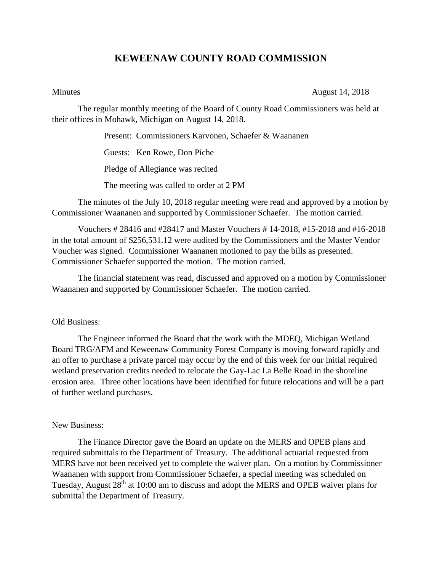## **KEWEENAW COUNTY ROAD COMMISSION**

Minutes August 14, 2018

The regular monthly meeting of the Board of County Road Commissioners was held at their offices in Mohawk, Michigan on August 14, 2018.

Present: Commissioners Karvonen, Schaefer & Waananen

Guests: Ken Rowe, Don Piche

Pledge of Allegiance was recited

The meeting was called to order at 2 PM

The minutes of the July 10, 2018 regular meeting were read and approved by a motion by Commissioner Waananen and supported by Commissioner Schaefer. The motion carried.

Vouchers # 28416 and #28417 and Master Vouchers # 14-2018, #15-2018 and #16-2018 in the total amount of \$256,531.12 were audited by the Commissioners and the Master Vendor Voucher was signed. Commissioner Waananen motioned to pay the bills as presented. Commissioner Schaefer supported the motion. The motion carried.

The financial statement was read, discussed and approved on a motion by Commissioner Waananen and supported by Commissioner Schaefer. The motion carried.

## Old Business:

The Engineer informed the Board that the work with the MDEQ, Michigan Wetland Board TRG/AFM and Keweenaw Community Forest Company is moving forward rapidly and an offer to purchase a private parcel may occur by the end of this week for our initial required wetland preservation credits needed to relocate the Gay-Lac La Belle Road in the shoreline erosion area. Three other locations have been identified for future relocations and will be a part of further wetland purchases.

## New Business:

The Finance Director gave the Board an update on the MERS and OPEB plans and required submittals to the Department of Treasury. The additional actuarial requested from MERS have not been received yet to complete the waiver plan. On a motion by Commissioner Waananen with support from Commissioner Schaefer, a special meeting was scheduled on Tuesday, August 28th at 10:00 am to discuss and adopt the MERS and OPEB waiver plans for submittal the Department of Treasury.